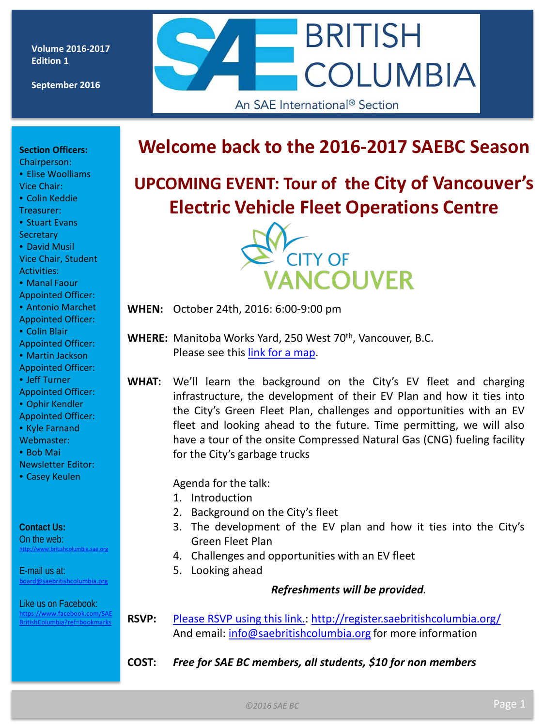**Volume 2016-2017 Edition 1**

**September 2016**



#### **Section Officers:**

Chairperson: • Elise Woolliams Vice Chair:

- Colin Keddie
- Treasurer: • Stuart Evans
- **Secretary**

• David Musil Vice Chair, Student Activities:

• Manal Faour Appointed Officer:

• Antonio Marchet

Appointed Officer: • Colin Blair

Appointed Officer:

- Martin Jackson
- Appointed Officer:
- Jeff Turner
- Appointed Officer:
- Ophir Kendler
- Appointed Officer: • Kyle Farnand
- Webmaster:
- Bob Mai
- Newsletter Editor:
- Casey Keulen

#### **Contact Us:**

On the web: http://www.brit

E-mail us at: [board@saebritishcolumbia.org](mailto:board@saebritishcolumbia.org)

#### Like us on Facebook:

https://www.facebook.com/SAE [BritishColumbia?ref=bookmarks](https://www.facebook.com/SAEBritishColumbia?ref=bookmarks)

### **Welcome back to the 2016-2017 SAEBC Season**

## **UPCOMING EVENT: Tour of the City of Vancouver's Electric Vehicle Fleet Operations Centre**



**WHEN:** October 24th, 2016: 6:00-9:00 pm

- WHERE: Manitoba Works Yard, 250 West 70<sup>th</sup>, Vancouver, B.C. Please see this link for a [map.](https://goo.gl/maps/212xLbWQRPn)
- **WHAT:** We'll learn the background on the City's EV fleet and charging infrastructure, the development of their EV Plan and how it ties into the City's Green Fleet Plan, challenges and opportunities with an EV fleet and looking ahead to the future. Time permitting, we will also have a tour of the onsite Compressed Natural Gas (CNG) fueling facility for the City's garbage trucks

Agenda for the talk:

- 1. Introduction
- 2. Background on the City's fleet
- 3. The development of the EV plan and how it ties into the City's Green Fleet Plan
- 4. Challenges and opportunities with an EV fleet
- 5. Looking ahead

#### *Refreshments will be provided.*

**RSVP:** [Please](http://register.saebritishcolumbia.org/) RSVP using this link.: <http://register.saebritishcolumbia.org/> And email: [info@saebritishcolumbia.org](mailto:info@saebritishcolumbia.org) for more information

**COST:** *Free for SAE BC members, all students, \$10 for non members*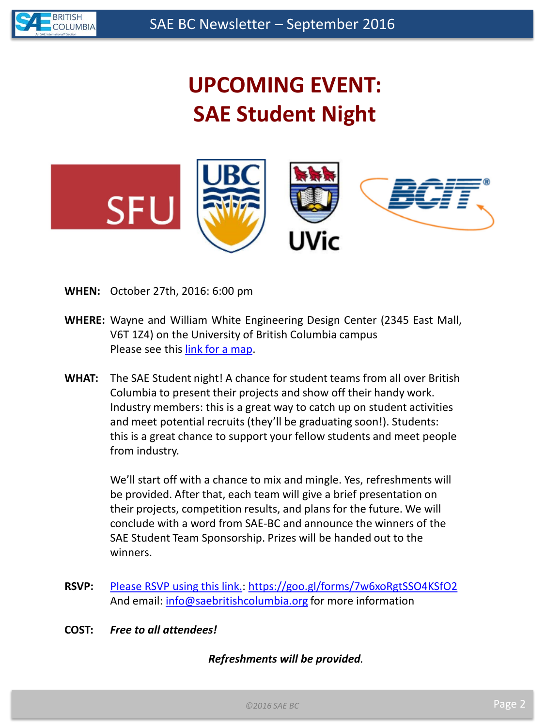

# **UPCOMING EVENT: SAE Student Night**



- **WHEN:** October 27th, 2016: 6:00 pm
- **WHERE:** Wayne and William White Engineering Design Center (2345 East Mall, V6T 1Z4) on the University of British Columbia campus Please see this link for a [map](https://goo.gl/maps/S65kNZpJqmr).
- **WHAT:** The SAE Student night! A chance for student teams from all over British Columbia to present their projects and show off their handy work. Industry members: this is a great way to catch up on student activities and meet potential recruits (they'll be graduating soon!). Students: this is a great chance to support your fellow students and meet people from industry.

We'll start off with a chance to mix and mingle. Yes, refreshments will be provided. After that, each team will give a brief presentation on their projects, competition results, and plans for the future. We will conclude with a word from SAE-BC and announce the winners of the SAE Student Team Sponsorship. Prizes will be handed out to the winners.

- **RSVP:** [Please RSVP using this link.](https://goo.gl/forms/7w6xoRgtSSO4KSfO2):<https://goo.gl/forms/7w6xoRgtSSO4KSfO2> And email: [info@saebritishcolumbia.org](mailto:info@saebritishcolumbia.org) for more information
- **COST:** *Free to all attendees!*

*Refreshments will be provided.*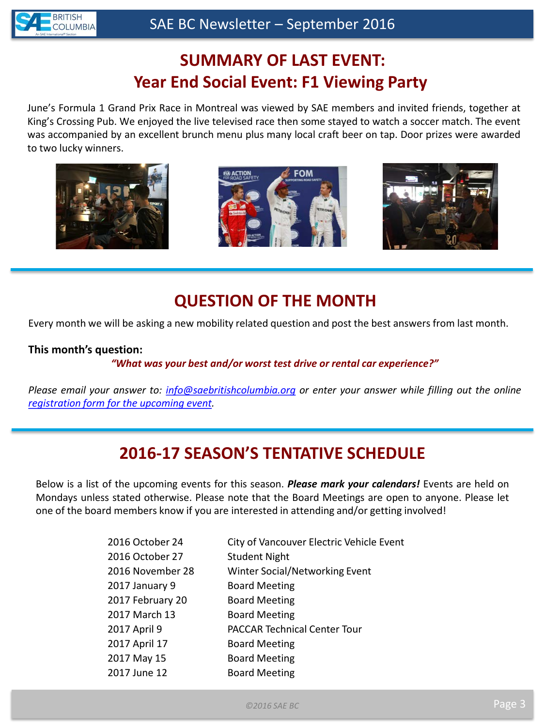

### **SUMMARY OF LAST EVENT: Year End Social Event: F1 Viewing Party**

June's Formula 1 Grand Prix Race in Montreal was viewed by SAE members and invited friends, together at King's Crossing Pub. We enjoyed the live televised race then some stayed to watch a soccer match. The event was accompanied by an excellent brunch menu plus many local craft beer on tap. Door prizes were awarded to two lucky winners.







### **QUESTION OF THE MONTH**

Every month we will be asking a new mobility related question and post the best answers from last month.

#### **This month's question:**

*"What was your best and/or worst test drive or rental car experience?"*

*Please email your answer to: [info@saebritishcolumbia.org](mailto:info@saebritishcolumbia.org) or enter your answer while filling out the online registration form for the upcoming event.*

### **2016-17 SEASON'S TENTATIVE SCHEDULE**

Below is a list of the upcoming events for this season. *Please mark your calendars!* Events are held on Mondays unless stated otherwise. Please note that the Board Meetings are open to anyone. Please let one of the board members know if you are interested in attending and/or getting involved!

| 2016 October 24  | City of Vancouver Electric Vehicle Event |
|------------------|------------------------------------------|
| 2016 October 27  | <b>Student Night</b>                     |
| 2016 November 28 | Winter Social/Networking Event           |
| 2017 January 9   | <b>Board Meeting</b>                     |
| 2017 February 20 | <b>Board Meeting</b>                     |
| 2017 March 13    | <b>Board Meeting</b>                     |
| 2017 April 9     | <b>PACCAR Technical Center Tour</b>      |
| 2017 April 17    | <b>Board Meeting</b>                     |
| 2017 May 15      | <b>Board Meeting</b>                     |
| 2017 June 12     | <b>Board Meeting</b>                     |